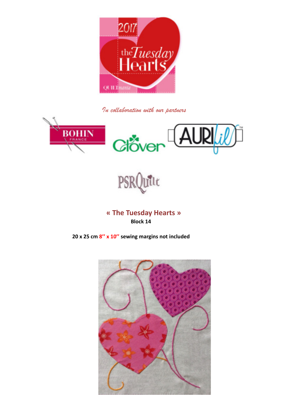

In collaboration with our partners





**« The Tuesday Hearts » Block 14**

**20 x 25 cm 8'' x 10'' sewing margins not included** 

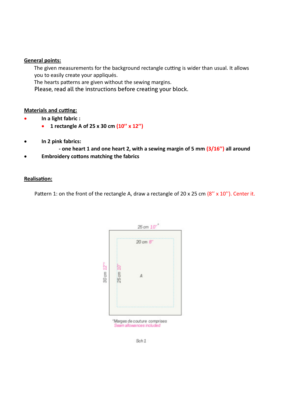## **General points:**

The given measurements for the background rectangle cutting is wider than usual. It allows you to easily create your appliqués.

The hearts patterns are given without the sewing margins.

Please, read all the instructions before creating your block.

## **Materials and cutting:**

- **In a light fabric :**
	- **1 rectangle A of 25 x 30 cm (10'' x 12'')**
- **In 2 pink fabrics:**
	- **one heart 1 and one heart 2, with a sewing margin of 5 mm (3/16'') all around**
- **Embroidery cottons matching the fabrics**

## **Realisation:**

Pattern 1: on the front of the rectangle A, draw a rectangle of 20 x 25 cm (8" x 10"). Center it.



"Marges de couture comprises Seam allowances included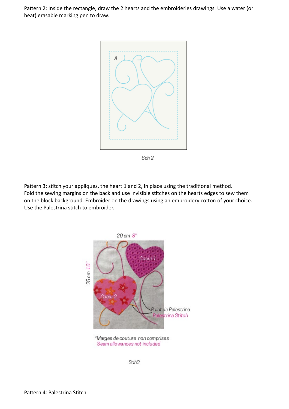Pattern 2: Inside the rectangle, draw the 2 hearts and the embroideries drawings. Use a water (or heat) erasable marking pen to draw.



Sch<sub>2</sub>

Pattern 3: stitch your appliques, the heart 1 and 2, in place using the traditional method. Fold the sewing margins on the back and use invisible stitches on the hearts edges to sew them on the block background. Embroider on the drawings using an embroidery cotton of your choice. Use the Palestrina stitch to embroider.



Seam allowances not included

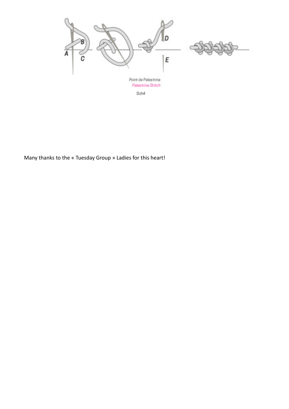

Many thanks to the « Tuesday Group » Ladies for this heart!